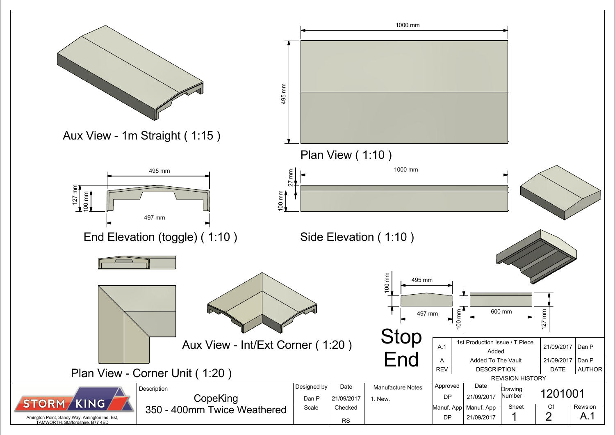